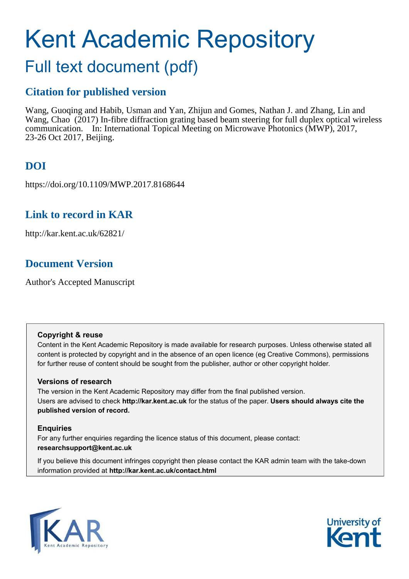# Kent Academic Repository

# Full text document (pdf)

## **Citation for published version**

Wang, Guoqing and Habib, Usman and Yan, Zhijun and Gomes, Nathan J. and Zhang, Lin and Wang, Chao (2017) In-fibre diffraction grating based beam steering for full duplex optical wireless communication. In: International Topical Meeting on Microwave Photonics (MWP), 2017, 23-26 Oct 2017, Beijing.

# **DOI**

https://doi.org/10.1109/MWP.2017.8168644

### **Link to record in KAR**

http://kar.kent.ac.uk/62821/

## **Document Version**

Author's Accepted Manuscript

#### **Copyright & reuse**

Content in the Kent Academic Repository is made available for research purposes. Unless otherwise stated all content is protected by copyright and in the absence of an open licence (eg Creative Commons), permissions for further reuse of content should be sought from the publisher, author or other copyright holder.

#### **Versions of research**

The version in the Kent Academic Repository may differ from the final published version. Users are advised to check **http://kar.kent.ac.uk** for the status of the paper. **Users should always cite the published version of record.**

#### **Enquiries**

For any further enquiries regarding the licence status of this document, please contact: **researchsupport@kent.ac.uk**

If you believe this document infringes copyright then please contact the KAR admin team with the take-down information provided at **http://kar.kent.ac.uk/contact.html**



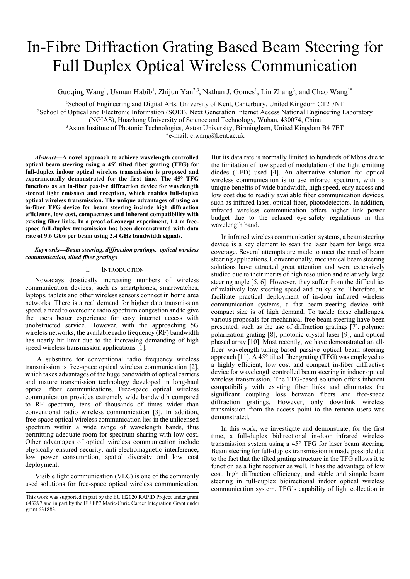# In-Fibre Diffraction Grating Based Beam Steering for Full Duplex Optical Wireless Communication

Guoqing Wang<sup>1</sup>, Usman Habib<sup>1</sup>, Zhijun Yan<sup>2,3</sup>, Nathan J. Gomes<sup>1</sup>, Lin Zhang<sup>3</sup>, and Chao Wang<sup>1\*</sup>

<sup>1</sup>School of Engineering and Digital Arts, University of Kent, Canterbury, United Kingdom CT2 7NT

<sup>2</sup>School of Optical and Electronic Information (SOEI), Next Generation Internet Access National Engineering Laboratory

(NGIAS), Huazhong University of Science and Technology, Wuhan, 430074, China

<sup>3</sup>Aston Institute of Photonic Technologies, Aston University, Birmingham, United Kingdom B4 7ET

\*e-mail: c.wang@kent.ac.uk

*Abstract*—A novel approach to achieve wavelength controlled **optical beam steering using a 45° tilted fiber grating (TFG) for full-duplex indoor optical wireless transmission is proposed and experimentally demonstrated for the first time. The 45° TFG functions as an in-fiber passive diffraction device for wavelength steered light emission and reception, which enables full-duplex optical wireless transmission. The unique advantages of using an in-fiber TFG device for beam steering include high diffraction efficiency, low cost, compactness and inherent compatibility with existing fiber links. In a proof-of-concept experiment, 1.4 m freespace full-duplex transmission has been demonstrated with data rate of 9.6 Gb/s per beam using 2.4 GHz bandwidth signals.** 

#### *Keywords—Beam steering, diffraction gratings, optical wireless communication, tilted fiber gratings*

#### I. INTRODUCTION

Nowadays drastically increasing numbers of wireless communication devices, such as smartphones, smartwatches, laptops, tablets and other wireless sensors connect in home area networks. There is a real demand for higher data transmission speed, a need to overcome radio spectrum congestion and to give the users better experience for easy internet access with unobstructed service. However, with the approaching 5G wireless networks, the available radio frequency (RF) bandwidth has nearly hit limit due to the increasing demanding of high speed wireless transmission applications [1].

 A substitute for conventional radio frequency wireless transmission is free-space optical wireless communication [2], which takes advantages of the huge bandwidth of optical carriers and mature transmission technology developed in long-haul optical fiber communications. Free-space optical wireless communication provides extremely wide bandwidth compared to RF spectrum, tens of thousands of times wider than conventional radio wireless communication [3]. In addition, free-space optical wireless communication lies in the unlicensed spectrum within a wide range of wavelength bands, thus permitting adequate room for spectrum sharing with low-cost. Other advantages of optical wireless communication include physically ensured security, anti-electromagnetic interference, low power consumption, spatial diversity and low cost deployment.

Visible light communication (VLC) is one of the commonly used solutions for free-space optical wireless communication. But its data rate is normally limited to hundreds of Mbps due to the limitation of low speed of modulation of the light emitting diodes (LED) used [4]. An alternative solution for optical wireless communication is to use infrared spectrum, with its unique benefits of wide bandwidth, high speed, easy access and low cost due to readily available fiber communication devices, such as infrared laser, optical fiber, photodetectors. In addition, infrared wireless communication offers higher link power budget due to the relaxed eye-safety regulations in this wavelength band.

In infrared wireless communication systems, a beam steering device is a key element to scan the laser beam for large area coverage. Several attempts are made to meet the need of beam steering applications. Conventionally, mechanical beam steering solutions have attracted great attention and were extensively studied due to their merits of high resolution and relatively large steering angle [5, 6]. However, they suffer from the difficulties of relatively low steering speed and bulky size. Therefore, to facilitate practical deployment of in-door infrared wireless communication systems, a fast beam-steering device with compact size is of high demand. To tackle these challenges, various proposals for mechanical-free beam steering have been presented, such as the use of diffraction gratings [7], polymer polarization grating [8], photonic crystal laser [9], and optical phased array [10]. Most recently, we have demonstrated an allfiber wavelength-tuning-based passive optical beam steering approach [11]. A 45° tilted fiber grating (TFG) was employed as a highly efficient, low cost and compact in-fiber diffractive device for wavelength controlled beam steering in indoor optical wireless transmission. The TFG-based solution offers inherent compatibility with existing fiber links and eliminates the significant coupling loss between fibers and free-space diffraction gratings. However, only downlink wireless transmission from the access point to the remote users was demonstrated.

In this work, we investigate and demonstrate, for the first time, a full-duplex bidirectional in-door infrared wireless transmission system using a 45° TFG for laser beam steering. Beam steering for full-duplex transmission is made possible due to the fact that the tilted grating structure in the TFG allows it to function as a light receiver as well. It has the advantage of low cost, high diffraction efficiency, and stable and simple beam steering in full-duplex bidirectional indoor optical wireless communication system. TFG's capability of light collection in

This work was supported in part by the EU H2020 RAPID Project under grant 643297 and in part by the EU FP7 Marie-Curie Career Integration Grant under grant 631883.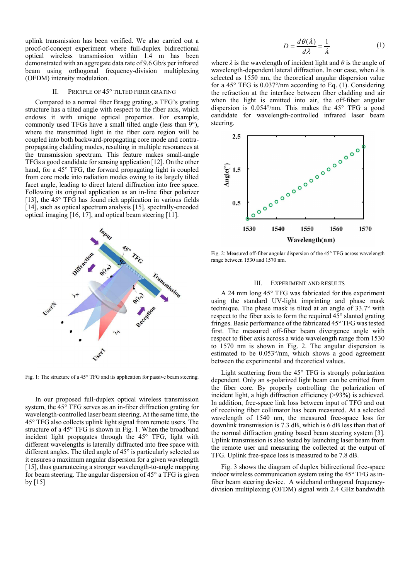uplink transmission has been verified. We also carried out a proof-of-concept experiment where full-duplex bidirectional optical wireless transmission within 1.4 m has been demonstrated with an aggregate data rate of 9.6 Gb/s per infrared beam using orthogonal frequency-division multiplexing (OFDM) intensity modulation.

#### II. PRICIPLE OF 45° TILTED FIBER GRATING

Compared to a normal fiber Bragg grating, a TFG's grating structure has a tilted angle with respect to the fiber axis, which endows it with unique optical properties. For example, commonly used TFGs have a small tilted angle (less than 9°), where the transmitted light in the fiber core region will be coupled into both backward-propagating core mode and contrapropagating cladding modes, resulting in multiple resonances at the transmission spectrum. This feature makes small-angle TFGs a good candidate for sensing application [12]. On the other hand, for a 45° TFG, the forward propagating light is coupled from core mode into radiation modes owing to its largely tilted facet angle, leading to direct lateral diffraction into free space. Following its original application as an in-line fiber polarizer [13], the 45° TFG has found rich application in various fields [14], such as optical spectrum analysis [15], spectrally-encoded optical imaging [16, 17], and optical beam steering [11].



Fig. 1: The structure of a 45° TFG and its application for passive beam steering.

In our proposed full-duplex optical wireless transmission system, the 45° TFG serves as an in-fiber diffraction grating for wavelength-controlled laser beam steering. At the same time, the 45° TFG also collects uplink light signal from remote users. The structure of a 45° TFG is shown in Fig. 1. When the broadband incident light propagates through the 45° TFG, light with different wavelengths is laterally diffracted into free space with different angles. The tiled angle of 45° is particularly selected as it ensures a maximum angular dispersion for a given wavelength [15], thus guaranteeing a stronger wavelength-to-angle mapping for beam steering. The angular dispersion of 45° a TFG is given by  $[15]$ 

$$
D = \frac{d\theta(\lambda)}{d\lambda} = \frac{1}{\lambda}
$$
 (1)

where  $\lambda$  is the wavelength of incident light and  $\theta$  is the angle of wavelength-dependent lateral diffraction. In our case, when  $λ$  is selected as 1550 nm, the theoretical angular dispersion value for a 45° TFG is 0.037°/nm according to Eq. (1). Considering the refraction at the interface between fiber cladding and air when the light is emitted into air, the off-fiber angular dispersion is 0.054°/nm. This makes the 45° TFG a good candidate for wavelength-controlled infrared laser beam steering.



Fig. 2: Measured off-fiber angular dispersion of the 45° TFG across wavelength range between 1530 and 1570 nm.

#### III. EXPERIMENT AND RESULTS

A 24 mm long 45° TFG was fabricated for this experiment using the standard UV-light imprinting and phase mask technique. The phase mask is tilted at an angle of 33.7° with respect to the fiber axis to form the required 45° slanted grating fringes. Basic performance of the fabricated 45° TFG was tested first. The measured off-fiber beam divergence angle with respect to fiber axis across a wide wavelength range from 1530 to 1570 nm is shown in Fig. 2. The angular dispersion is estimated to be 0.053°/nm, which shows a good agreement between the experimental and theoretical values.

Light scattering from the 45° TFG is strongly polarization dependent. Only an s-polarized light beam can be emitted from the fiber core. By properly controlling the polarization of incident light, a high diffraction efficiency (>93%) is achieved. In addition, free-space link loss between input of TFG and out of receiving fiber collimator has been measured. At a selected wavelength of 1540 nm, the measured free-space loss for downlink transmission is 7.3 dB, which is 6 dB less than that of the normal diffraction grating based beam steering system [3]. Uplink transmission is also tested by launching laser beam from the remote user and measuring the collected at the output of TFG. Uplink free-space loss is measured to be 7.8 dB.

Fig. 3 shows the diagram of duplex bidirectional free-space indoor wireless communication system using the 45° TFG as infiber beam steering device. A wideband orthogonal frequencydivision multiplexing (OFDM) signal with 2.4 GHz bandwidth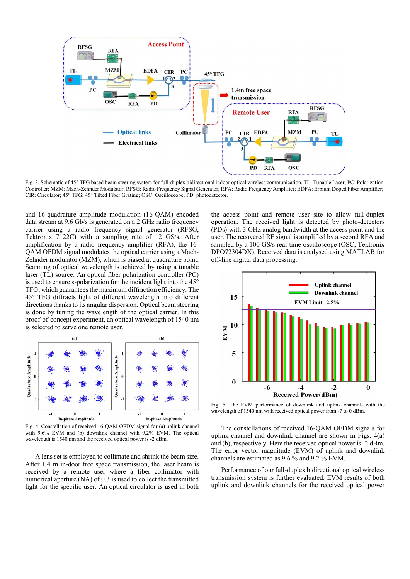

Fig. 3. Schematic of 45° TFG based beam steering system for full-duplex bidirectional indoor optical wireless communication. TL: Tunable Laser; PC: Polarization Controller; MZM: Mach-Zehnder Modulator; RFSG: Radio Frequency Signal Generator; RFA: Radio Frequency Amplifier; EDFA: Erbium Doped Fiber Amplifier; CIR: Circulator; 45° TFG: 45° Tilted Fiber Grating; OSC: Oscilloscope; PD: photodetector.

and 16-quadrature amplitude modulation (16-QAM) encoded data stream at 9.6 Gb/s is generated on a 2 GHz radio frequency carrier using a radio frequency signal generator (RFSG, Tektronix 7122C) with a sampling rate of 12 GS/s. After amplification by a radio frequency amplifier (RFA), the 16- QAM OFDM signal modulates the optical carrier using a Mach-Zehnder modulator (MZM), which is biased at quadrature point. Scanning of optical wavelength is achieved by using a tunable laser (TL) source. An optical fiber polarization controller (PC) is used to ensure s-polarization for the incident light into the  $45^\circ$ TFG, which guarantees the maximum diffraction efficiency. The 45° TFG diffracts light of different wavelength into different directions thanks to its angular dispersion. Optical beam steering is done by tuning the wavelength of the optical carrier. In this proof-of-concept experiment, an optical wavelength of 1540 nm is selected to serve one remote user.



Fig. 4: Constellation of received 16-QAM OFDM signal for (a) uplink channel with 9.6% EVM and (b) downlink channel with 9.2% EVM. The optical wavelength is 1540 nm and the received optical power is -2 dBm.

A lens set is employed to collimate and shrink the beam size. After 1.4 m in-door free space transmission, the laser beam is received by a remote user where a fiber collimator with numerical aperture (NA) of 0.3 is used to collect the transmitted light for the specific user. An optical circulator is used in both

the access point and remote user site to allow full-duplex operation. The received light is detected by photo-detectors (PDs) with 3 GHz analog bandwidth at the access point and the user. The recovered RF signal is amplified by a second RFA and sampled by a 100 GS/s real-time oscilloscope (OSC, Tektronix DPO72304DX). Received data is analysed using MATLAB for off-line digital data processing.



Fig. 5: The EVM performance of downlink and uplink channels with the wavelength of 1540 nm with received optical power from -7 to 0 dBm.

The constellations of received 16-QAM OFDM signals for uplink channel and downlink channel are shown in Figs. 4(a) and (b), respectively. Here the received optical power is -2 dBm. The error vector magnitude (EVM) of uplink and downlink channels are estimated as 9.6 % and 9.2 % EVM.

Performance of our full-duplex bidirectional optical wireless transmission system is further evaluated. EVM results of both uplink and downlink channels for the received optical power